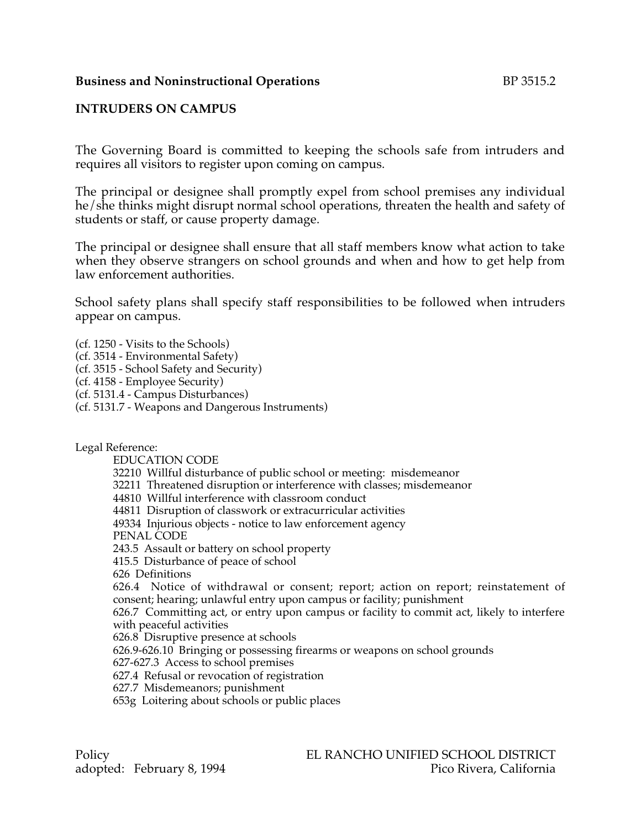### **Business and Noninstructional Operations** BP 3515.2

### **INTRUDERS ON CAMPUS**

The Governing Board is committed to keeping the schools safe from intruders and requires all visitors to register upon coming on campus.

The principal or designee shall promptly expel from school premises any individual he/she thinks might disrupt normal school operations, threaten the health and safety of students or staff, or cause property damage.

The principal or designee shall ensure that all staff members know what action to take when they observe strangers on school grounds and when and how to get help from law enforcement authorities.

School safety plans shall specify staff responsibilities to be followed when intruders appear on campus.

(cf. 1250 - Visits to the Schools)

(cf. 3514 - Environmental Safety)

(cf. 3515 - School Safety and Security)

(cf. 4158 - Employee Security)

(cf. 5131.4 - Campus Disturbances)

(cf. 5131.7 - Weapons and Dangerous Instruments)

Legal Reference:

EDUCATION CODE

32210 Willful disturbance of public school or meeting: misdemeanor

32211 Threatened disruption or interference with classes; misdemeanor

44810 Willful interference with classroom conduct

44811 Disruption of classwork or extracurricular activities

49334 Injurious objects - notice to law enforcement agency

PENAL CODE

243.5 Assault or battery on school property

415.5 Disturbance of peace of school

626 Definitions

626.4 Notice of withdrawal or consent; report; action on report; reinstatement of consent; hearing; unlawful entry upon campus or facility; punishment

626.7 Committing act, or entry upon campus or facility to commit act, likely to interfere with peaceful activities

626.8 Disruptive presence at schools

626.9-626.10 Bringing or possessing firearms or weapons on school grounds

627-627.3 Access to school premises

627.4 Refusal or revocation of registration

627.7 Misdemeanors; punishment

653g Loitering about schools or public places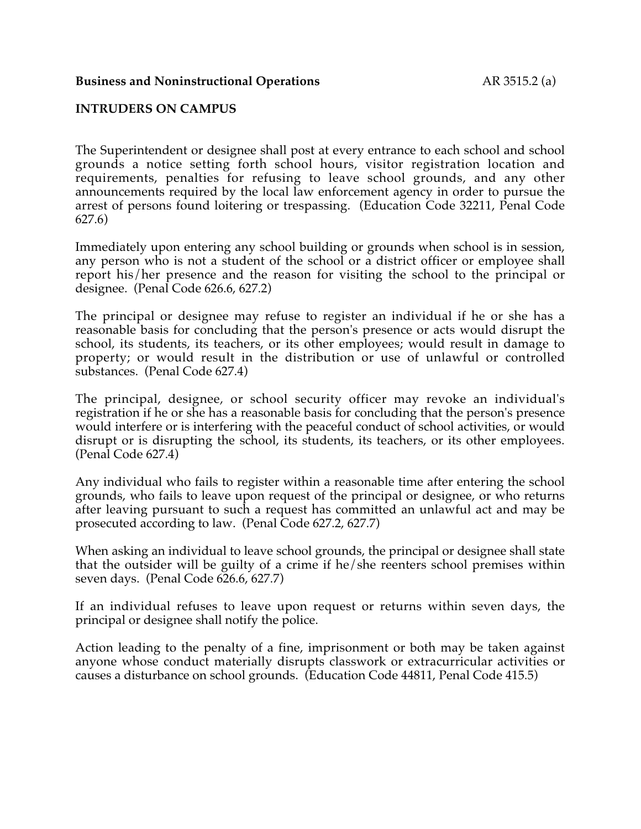#### **Business and Noninstructional Operations** AR 3515.2 (a)

#### **INTRUDERS ON CAMPUS**

The Superintendent or designee shall post at every entrance to each school and school grounds a notice setting forth school hours, visitor registration location and requirements, penalties for refusing to leave school grounds, and any other announcements required by the local law enforcement agency in order to pursue the arrest of persons found loitering or trespassing. (Education Code 32211, Penal Code 627.6)

Immediately upon entering any school building or grounds when school is in session, any person who is not a student of the school or a district officer or employee shall report his/her presence and the reason for visiting the school to the principal or designee. (Penal Code 626.6, 627.2)

The principal or designee may refuse to register an individual if he or she has a reasonable basis for concluding that the person's presence or acts would disrupt the school, its students, its teachers, or its other employees; would result in damage to property; or would result in the distribution or use of unlawful or controlled substances. (Penal Code 627.4)

The principal, designee, or school security officer may revoke an individual's registration if he or she has a reasonable basis for concluding that the person's presence would interfere or is interfering with the peaceful conduct of school activities, or would disrupt or is disrupting the school, its students, its teachers, or its other employees. (Penal Code 627.4)

Any individual who fails to register within a reasonable time after entering the school grounds, who fails to leave upon request of the principal or designee, or who returns after leaving pursuant to such a request has committed an unlawful act and may be prosecuted according to law. (Penal Code 627.2, 627.7)

When asking an individual to leave school grounds, the principal or designee shall state that the outsider will be guilty of a crime if he/she reenters school premises within seven days. (Penal Code 626.6, 627.7)

If an individual refuses to leave upon request or returns within seven days, the principal or designee shall notify the police.

Action leading to the penalty of a fine, imprisonment or both may be taken against anyone whose conduct materially disrupts classwork or extracurricular activities or causes a disturbance on school grounds. (Education Code 44811, Penal Code 415.5)